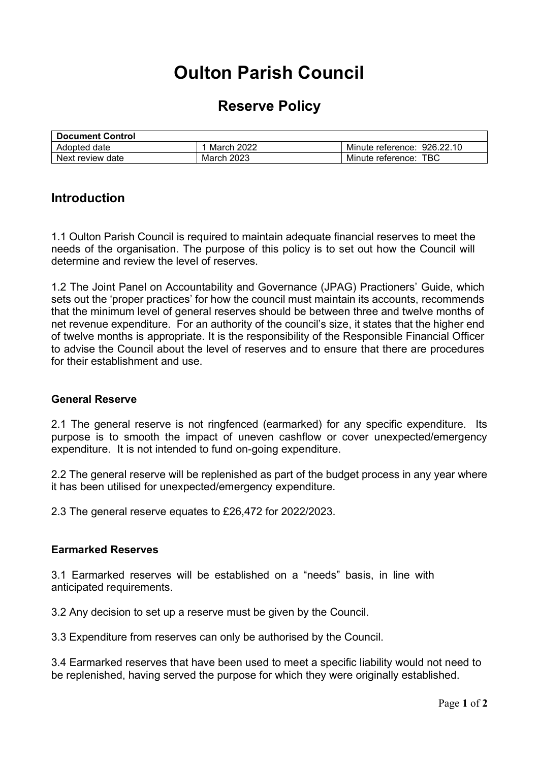# **Oulton Parish Council**

# **Reserve Policy**

| <b>Document Control</b> |                   |                             |
|-------------------------|-------------------|-----------------------------|
| Adopted date            | <b>March 2022</b> | Minute reference: 926.22.10 |
| Next review date        | March 2023        | TBC<br>Minute reference:    |

# **Introduction**

1.1 Oulton Parish Council is required to maintain adequate financial reserves to meet the needs of the organisation. The purpose of this policy is to set out how the Council will determine and review the level of reserves.

1.2 The Joint Panel on Accountability and Governance (JPAG) Practioners' Guide, which sets out the 'proper practices' for how the council must maintain its accounts, recommends that the minimum level of general reserves should be between three and twelve months of net revenue expenditure. For an authority of the council's size, it states that the higher end of twelve months is appropriate. It is the responsibility of the Responsible Financial Officer to advise the Council about the level of reserves and to ensure that there are procedures for their establishment and use.

#### **General Reserve**

2.1 The general reserve is not ringfenced (earmarked) for any specific expenditure. Its purpose is to smooth the impact of uneven cashflow or cover unexpected/emergency expenditure. It is not intended to fund on-going expenditure.

2.2 The general reserve will be replenished as part of the budget process in any year where it has been utilised for unexpected/emergency expenditure.

2.3 The general reserve equates to £26,472 for 2022/2023.

## **Earmarked Reserves**

3.1 Earmarked reserves will be established on a "needs" basis, in line with anticipated requirements.

3.2 Any decision to set up a reserve must be given by the Council.

3.3 Expenditure from reserves can only be authorised by the Council.

3.4 Earmarked reserves that have been used to meet a specific liability would not need to be replenished, having served the purpose for which they were originally established.